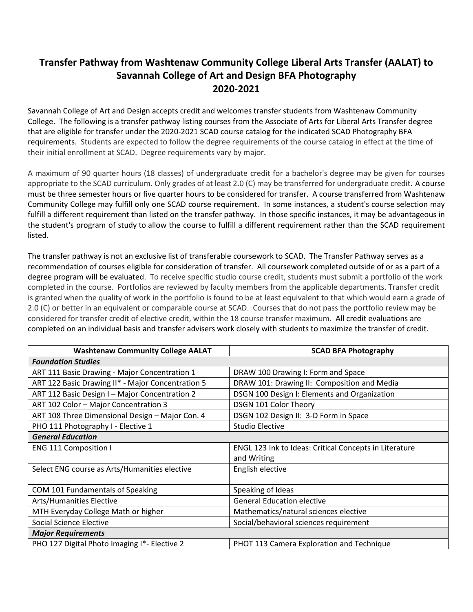## **Transfer Pathway from Washtenaw Community College Liberal Arts Transfer (AALAT) to Savannah College of Art and Design BFA Photography 2020-2021**

Savannah College of Art and Design accepts credit and welcomes transfer students from Washtenaw Community College. The following is a transfer pathway listing courses from the Associate of Arts for Liberal Arts Transfer degree that are eligible for transfer under the 2020-2021 SCAD course catalog for the indicated SCAD Photography BFA requirements. Students are expected to follow the degree requirements of the course catalog in effect at the time of their initial enrollment at SCAD. Degree requirements vary by major.

A maximum of 90 quarter hours (18 classes) of undergraduate credit for a bachelor's degree may be given for courses appropriate to the SCAD curriculum. Only grades of at least 2.0 (C) may be transferred for undergraduate credit. A course must be three semester hours or five quarter hours to be considered for transfer. A course transferred from Washtenaw Community College may fulfill only one SCAD course requirement. In some instances, a student's course selection may fulfill a different requirement than listed on the transfer pathway. In those specific instances, it may be advantageous in the student's program of study to allow the course to fulfill a different requirement rather than the SCAD requirement listed.

The transfer pathway is not an exclusive list of transferable coursework to SCAD. The Transfer Pathway serves as a recommendation of courses eligible for consideration of transfer. All coursework completed outside of or as a part of a degree program will be evaluated. To receive specific studio course credit, students must submit a portfolio of the work completed in the course. Portfolios are reviewed by faculty members from the applicable departments. Transfer credit is granted when the quality of work in the portfolio is found to be at least equivalent to that which would earn a grade of 2.0 (C) or better in an equivalent or comparable course at SCAD. Courses that do not pass the portfolio review may be considered for transfer credit of elective credit, within the 18 course transfer maximum. All credit evaluations are completed on an individual basis and transfer advisers work closely with students to maximize the transfer of credit.

| <b>Washtenaw Community College AALAT</b>          | <b>SCAD BFA Photography</b>                            |
|---------------------------------------------------|--------------------------------------------------------|
| <b>Foundation Studies</b>                         |                                                        |
| ART 111 Basic Drawing - Major Concentration 1     | DRAW 100 Drawing I: Form and Space                     |
| ART 122 Basic Drawing II* - Major Concentration 5 | DRAW 101: Drawing II: Composition and Media            |
| ART 112 Basic Design I - Major Concentration 2    | DSGN 100 Design I: Elements and Organization           |
| ART 102 Color - Major Concentration 3             | DSGN 101 Color Theory                                  |
| ART 108 Three Dimensional Design - Major Con. 4   | DSGN 102 Design II: 3-D Form in Space                  |
| PHO 111 Photography I - Elective 1                | <b>Studio Elective</b>                                 |
| <b>General Education</b>                          |                                                        |
| <b>ENG 111 Composition I</b>                      | ENGL 123 Ink to Ideas: Critical Concepts in Literature |
|                                                   | and Writing                                            |
| Select ENG course as Arts/Humanities elective     | English elective                                       |
|                                                   |                                                        |
| COM 101 Fundamentals of Speaking                  | Speaking of Ideas                                      |
| <b>Arts/Humanities Elective</b>                   | <b>General Education elective</b>                      |
| MTH Everyday College Math or higher               | Mathematics/natural sciences elective                  |
| Social Science Elective                           | Social/behavioral sciences requirement                 |
| <b>Major Requirements</b>                         |                                                        |
| PHO 127 Digital Photo Imaging I*- Elective 2      | PHOT 113 Camera Exploration and Technique              |